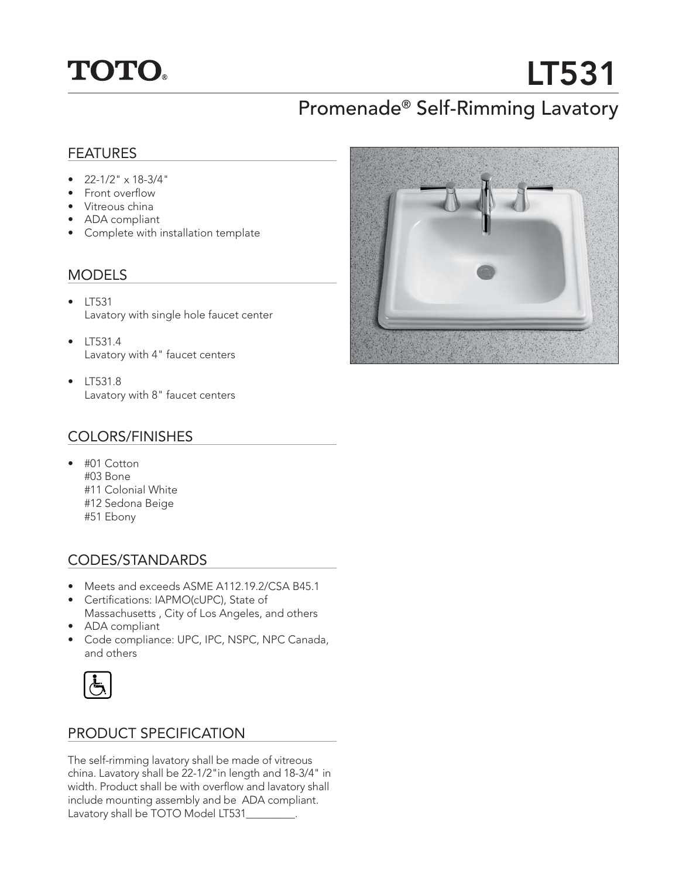

# LT531

## Promenade® Self-Rimming Lavatory

#### FEATURES

- $22-1/2$ "  $\times$  18-3/4"
- Front overflow
- Vitreous china
- ADA compliant
- Complete with installation template

#### MODELS

- LT531 Lavatory with single hole faucet center
- LT531.4 Lavatory with 4" faucet centers
- LT531.8 Lavatory with 8" faucet centers

#### COLORS/FINISHES

• #01 Cotton #03 Bone #11 Colonial White #12 Sedona Beige #51 Ebony

#### CODES/STANDARDS

- Meets and exceeds ASME A112.19.2/CSA B45.1
- Certifications: IAPMO(cUPC), State of Massachusetts , City of Los Angeles, and others
- ADA compliant
- Code compliance: UPC, IPC, NSPC, NPC Canada, and others



#### PRODUCT SPECIFICATION

The self-rimming lavatory shall be made of vitreous china. Lavatory shall be 22-1/2"in length and 18-3/4" in width. Product shall be with overflow and lavatory shall include mounting assembly and be ADA compliant. Lavatory shall be TOTO Model LT531\_